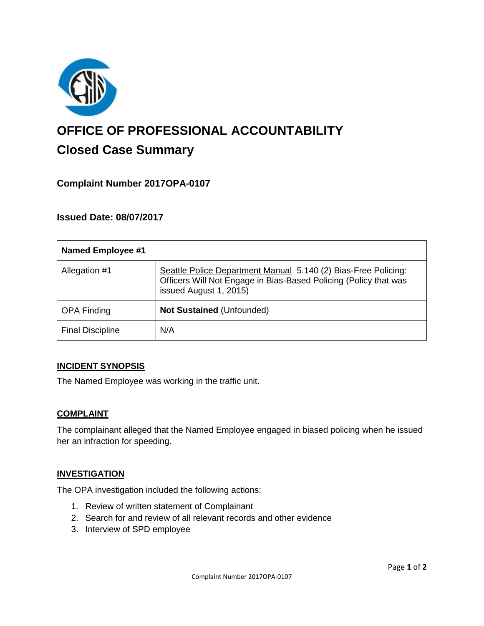

# **OFFICE OF PROFESSIONAL ACCOUNTABILITY Closed Case Summary**

# **Complaint Number 2017OPA-0107**

### **Issued Date: 08/07/2017**

| <b>Named Employee #1</b> |                                                                                                                                                              |
|--------------------------|--------------------------------------------------------------------------------------------------------------------------------------------------------------|
| Allegation #1            | Seattle Police Department Manual 5.140 (2) Bias-Free Policing:<br>Officers Will Not Engage in Bias-Based Policing (Policy that was<br>issued August 1, 2015) |
| <b>OPA Finding</b>       | Not Sustained (Unfounded)                                                                                                                                    |
| <b>Final Discipline</b>  | N/A                                                                                                                                                          |

#### **INCIDENT SYNOPSIS**

The Named Employee was working in the traffic unit.

#### **COMPLAINT**

The complainant alleged that the Named Employee engaged in biased policing when he issued her an infraction for speeding.

#### **INVESTIGATION**

The OPA investigation included the following actions:

- 1. Review of written statement of Complainant
- 2. Search for and review of all relevant records and other evidence
- 3. Interview of SPD employee